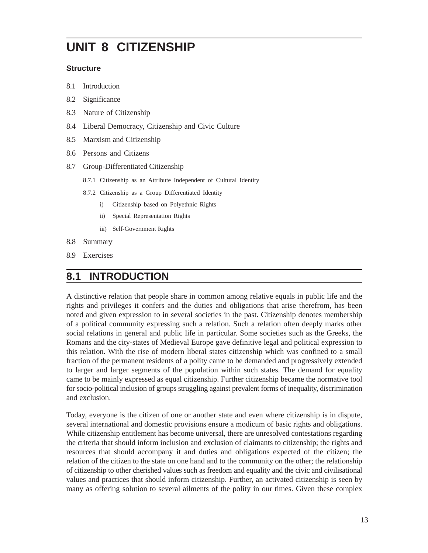# **UNIT 8 CITIZENSHIP**

#### **Structure**

- 8.1 Introduction
- 8.2 Significance
- 8.3 Nature of Citizenship
- 8.4 Liberal Democracy, Citizenship and Civic Culture
- 8.5 Marxism and Citizenship
- 8.6 Persons and Citizens
- 8.7 Group-Differentiated Citizenship
	- 8.7.1 Citizenship as an Attribute Independent of Cultural Identity
	- 8.7.2 Citizenship as a Group Differentiated Identity
		- i) Citizenship based on Polyethnic Rights
		- ii) Special Representation Rights
		- iii) Self-Government Rights
- 8.8 Summary
- 8.9 Exercises

## **8.1 INTRODUCTION**

A distinctive relation that people share in common among relative equals in public life and the rights and privileges it confers and the duties and obligations that arise therefrom, has been noted and given expression to in several societies in the past. Citizenship denotes membership of a political community expressing such a relation. Such a relation often deeply marks other social relations in general and public life in particular. Some societies such as the Greeks, the Romans and the city-states of Medieval Europe gave definitive legal and political expression to this relation. With the rise of modern liberal states citizenship which was confined to a small fraction of the permanent residents of a polity came to be demanded and progressively extended to larger and larger segments of the population within such states. The demand for equality came to be mainly expressed as equal citizenship. Further citizenship became the normative tool for socio-political inclusion of groups struggling against prevalent forms of inequality, discrimination and exclusion.

Today, everyone is the citizen of one or another state and even where citizenship is in dispute, several international and domestic provisions ensure a modicum of basic rights and obligations. While citizenship entitlement has become universal, there are unresolved contestations regarding the criteria that should inform inclusion and exclusion of claimants to citizenship; the rights and resources that should accompany it and duties and obligations expected of the citizen; the relation of the citizen to the state on one hand and to the community on the other; the relationship of citizenship to other cherished values such as freedom and equality and the civic and civilisational values and practices that should inform citizenship. Further, an activated citizenship is seen by many as offering solution to several ailments of the polity in our times. Given these complex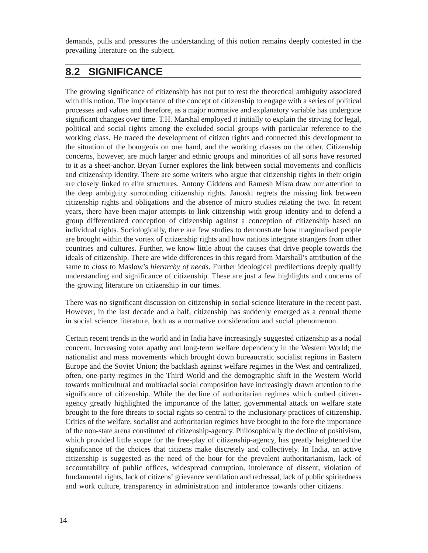demands, pulls and pressures the understanding of this notion remains deeply contested in the prevailing literature on the subject.

## **8.2 SIGNIFICANCE**

The growing significance of citizenship has not put to rest the theoretical ambiguity associated with this notion. The importance of the concept of citizenship to engage with a series of political processes and values and therefore, as a major normative and explanatory variable has undergone significant changes over time. T.H. Marshal employed it initially to explain the striving for legal, political and social rights among the excluded social groups with particular reference to the working class. He traced the development of citizen rights and connected this development to the situation of the bourgeois on one hand, and the working classes on the other. Citizenship concerns, however, are much larger and ethnic groups and minorities of all sorts have resorted to it as a sheet-anchor. Bryan Turner explores the link between social movements and conflicts and citizenship identity. There are some writers who argue that citizenship rights in their origin are closely linked to elite structures. Antony Giddens and Ramesh Misra draw our attention to the deep ambiguity surrounding citizenship rights. Janoski regrets the missing link between citizenship rights and obligations and the absence of micro studies relating the two. In recent years, there have been major attempts to link citizenship with group identity and to defend a group differentiated conception of citizenship against a conception of citizenship based on individual rights. Sociologically, there are few studies to demonstrate how marginalised people are brought within the vortex of citizenship rights and how nations integrate strangers from other countries and cultures. Further, we know little about the causes that drive people towards the ideals of citizenship. There are wide differences in this regard from Marshall's attribution of the same to *class* to Maslow's *hierarchy of needs*. Further ideological predilections deeply qualify understanding and significance of citizenship. These are just a few highlights and concerns of the growing literature on citizenship in our times.

There was no significant discussion on citizenship in social science literature in the recent past. However, in the last decade and a half, citizenship has suddenly emerged as a central theme in social science literature, both as a normative consideration and social phenomenon.

Certain recent trends in the world and in India have increasingly suggested citizenship as a nodal concern. Increasing voter apathy and long-term welfare dependency in the Western World; the nationalist and mass movements which brought down bureaucratic socialist regions in Eastern Europe and the Soviet Union; the backlash against welfare regimes in the West and centralized, often, one-party regimes in the Third World and the demographic shift in the Western World towards multicultural and multiracial social composition have increasingly drawn attention to the significance of citizenship. While the decline of authoritarian regimes which curbed citizenagency greatly highlighted the importance of the latter, governmental attack on welfare state brought to the fore threats to social rights so central to the inclusionary practices of citizenship. Critics of the welfare, socialist and authoritarian regimes have brought to the fore the importance of the non-state arena constituted of citizenship-agency. Philosophically the decline of positivism, which provided little scope for the free-play of citizenship-agency, has greatly heightened the significance of the choices that citizens make discretely and collectively. In India, an active citizenship is suggested as the need of the hour for the prevalent authoritarianism, lack of accountability of public offices, widespread corruption, intolerance of dissent, violation of fundamental rights, lack of citizens' grievance ventilation and redressal, lack of public spiritedness and work culture, transparency in administration and intolerance towards other citizens.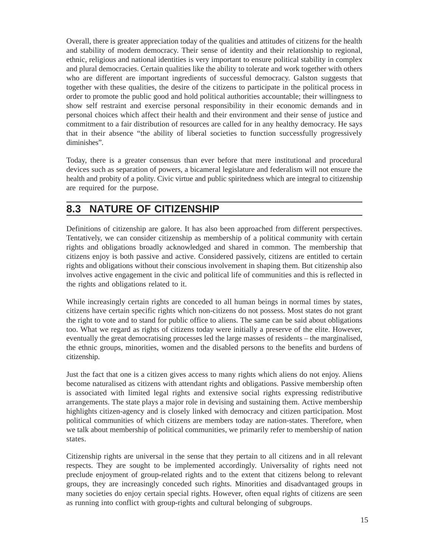Overall, there is greater appreciation today of the qualities and attitudes of citizens for the health and stability of modern democracy. Their sense of identity and their relationship to regional, ethnic, religious and national identities is very important to ensure political stability in complex and plural democracies. Certain qualities like the ability to tolerate and work together with others who are different are important ingredients of successful democracy. Galston suggests that together with these qualities, the desire of the citizens to participate in the political process in order to promote the public good and hold political authorities accountable; their willingness to show self restraint and exercise personal responsibility in their economic demands and in personal choices which affect their health and their environment and their sense of justice and commitment to a fair distribution of resources are called for in any healthy democracy. He says that in their absence "the ability of liberal societies to function successfully progressively diminishes".

Today, there is a greater consensus than ever before that mere institutional and procedural devices such as separation of powers, a bicameral legislature and federalism will not ensure the health and probity of a polity. Civic virtue and public spiritedness which are integral to citizenship are required for the purpose.

## **8.3 NATURE OF CITIZENSHIP**

Definitions of citizenship are galore. It has also been approached from different perspectives. Tentatively, we can consider citizenship as membership of a political community with certain rights and obligations broadly acknowledged and shared in common. The membership that citizens enjoy is both passive and active. Considered passively, citizens are entitled to certain rights and obligations without their conscious involvement in shaping them. But citizenship also involves active engagement in the civic and political life of communities and this is reflected in the rights and obligations related to it.

While increasingly certain rights are conceded to all human beings in normal times by states, citizens have certain specific rights which non-citizens do not possess. Most states do not grant the right to vote and to stand for public office to aliens. The same can be said about obligations too. What we regard as rights of citizens today were initially a preserve of the elite. However, eventually the great democratising processes led the large masses of residents – the marginalised, the ethnic groups, minorities, women and the disabled persons to the benefits and burdens of citizenship.

Just the fact that one is a citizen gives access to many rights which aliens do not enjoy. Aliens become naturalised as citizens with attendant rights and obligations. Passive membership often is associated with limited legal rights and extensive social rights expressing redistributive arrangements. The state plays a major role in devising and sustaining them. Active membership highlights citizen-agency and is closely linked with democracy and citizen participation. Most political communities of which citizens are members today are nation-states. Therefore, when we talk about membership of political communities, we primarily refer to membership of nation states.

Citizenship rights are universal in the sense that they pertain to all citizens and in all relevant respects. They are sought to be implemented accordingly. Universality of rights need not preclude enjoyment of group-related rights and to the extent that citizens belong to relevant groups, they are increasingly conceded such rights. Minorities and disadvantaged groups in many societies do enjoy certain special rights. However, often equal rights of citizens are seen as running into conflict with group-rights and cultural belonging of subgroups.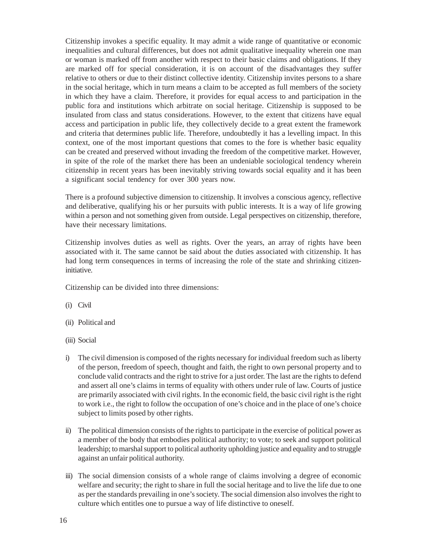Citizenship invokes a specific equality. It may admit a wide range of quantitative or economic inequalities and cultural differences, but does not admit qualitative inequality wherein one man or woman is marked off from another with respect to their basic claims and obligations. If they are marked off for special consideration, it is on account of the disadvantages they suffer relative to others or due to their distinct collective identity. Citizenship invites persons to a share in the social heritage, which in turn means a claim to be accepted as full members of the society in which they have a claim. Therefore, it provides for equal access to and participation in the public fora and institutions which arbitrate on social heritage. Citizenship is supposed to be insulated from class and status considerations. However, to the extent that citizens have equal access and participation in public life, they collectively decide to a great extent the framework and criteria that determines public life. Therefore, undoubtedly it has a levelling impact. In this context, one of the most important questions that comes to the fore is whether basic equality can be created and preserved without invading the freedom of the competitive market. However, in spite of the role of the market there has been an undeniable sociological tendency wherein citizenship in recent years has been inevitably striving towards social equality and it has been a significant social tendency for over 300 years now.

There is a profound subjective dimension to citizenship. It involves a conscious agency, reflective and deliberative, qualifying his or her pursuits with public interests. It is a way of life growing within a person and not something given from outside. Legal perspectives on citizenship, therefore, have their necessary limitations.

Citizenship involves duties as well as rights. Over the years, an array of rights have been associated with it. The same cannot be said about the duties associated with citizenship. It has had long term consequences in terms of increasing the role of the state and shrinking citizeninitiative.

Citizenship can be divided into three dimensions:

- (i) Civil
- (ii) Political and
- (iii) Social
- i) The civil dimension is composed of the rights necessary for individual freedom such as liberty of the person, freedom of speech, thought and faith, the right to own personal property and to conclude valid contracts and the right to strive for a just order. The last are the rights to defend and assert all one's claims in terms of equality with others under rule of law. Courts of justice are primarily associated with civil rights. In the economic field, the basic civil right is the right to work i.e., the right to follow the occupation of one's choice and in the place of one's choice subject to limits posed by other rights.
- ii) The political dimension consists of the rights to participate in the exercise of political power as a member of the body that embodies political authority; to vote; to seek and support political leadership; to marshal support to political authority upholding justice and equality and to struggle against an unfair political authority.
- iii) The social dimension consists of a whole range of claims involving a degree of economic welfare and security; the right to share in full the social heritage and to live the life due to one as per the standards prevailing in one's society. The social dimension also involves the right to culture which entitles one to pursue a way of life distinctive to oneself.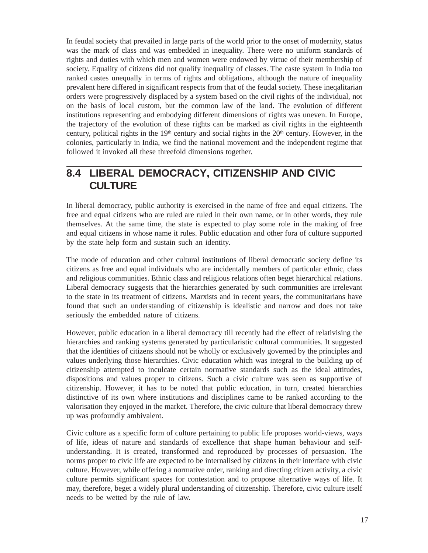In feudal society that prevailed in large parts of the world prior to the onset of modernity, status was the mark of class and was embedded in inequality. There were no uniform standards of rights and duties with which men and women were endowed by virtue of their membership of society. Equality of citizens did not qualify inequality of classes. The caste system in India too ranked castes unequally in terms of rights and obligations, although the nature of inequality prevalent here differed in significant respects from that of the feudal society. These ineqalitarian orders were progressively displaced by a system based on the civil rights of the individual, not on the basis of local custom, but the common law of the land. The evolution of different institutions representing and embodying different dimensions of rights was uneven. In Europe, the trajectory of the evolution of these rights can be marked as civil rights in the eighteenth century, political rights in the  $19<sup>th</sup>$  century and social rights in the  $20<sup>th</sup>$  century. However, in the colonies, particularly in India, we find the national movement and the independent regime that followed it invoked all these threefold dimensions together.

## **8.4 LIBERAL DEMOCRACY, CITIZENSHIP AND CIVIC CULTURE**

In liberal democracy, public authority is exercised in the name of free and equal citizens. The free and equal citizens who are ruled are ruled in their own name, or in other words, they rule themselves. At the same time, the state is expected to play some role in the making of free and equal citizens in whose name it rules. Public education and other fora of culture supported by the state help form and sustain such an identity.

The mode of education and other cultural institutions of liberal democratic society define its citizens as free and equal individuals who are incidentally members of particular ethnic, class and religious communities. Ethnic class and religious relations often beget hierarchical relations. Liberal democracy suggests that the hierarchies generated by such communities are irrelevant to the state in its treatment of citizens. Marxists and in recent years, the communitarians have found that such an understanding of citizenship is idealistic and narrow and does not take seriously the embedded nature of citizens.

However, public education in a liberal democracy till recently had the effect of relativising the hierarchies and ranking systems generated by particularistic cultural communities. It suggested that the identities of citizens should not be wholly or exclusively governed by the principles and values underlying those hierarchies. Civic education which was integral to the building up of citizenship attempted to inculcate certain normative standards such as the ideal attitudes, dispositions and values proper to citizens. Such a civic culture was seen as supportive of citizenship. However, it has to be noted that public education, in turn, created hierarchies distinctive of its own where institutions and disciplines came to be ranked according to the valorisation they enjoyed in the market. Therefore, the civic culture that liberal democracy threw up was profoundly ambivalent.

Civic culture as a specific form of culture pertaining to public life proposes world-views, ways of life, ideas of nature and standards of excellence that shape human behaviour and selfunderstanding. It is created, transformed and reproduced by processes of persuasion. The norms proper to civic life are expected to be internalised by citizens in their interface with civic culture. However, while offering a normative order, ranking and directing citizen activity, a civic culture permits significant spaces for contestation and to propose alternative ways of life. It may, therefore, beget a widely plural understanding of citizenship. Therefore, civic culture itself needs to be wetted by the rule of law.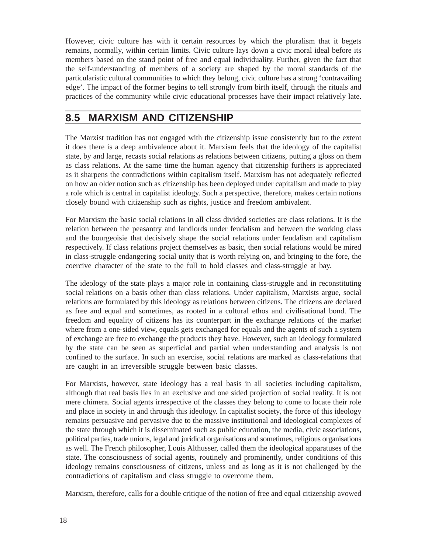However, civic culture has with it certain resources by which the pluralism that it begets remains, normally, within certain limits. Civic culture lays down a civic moral ideal before its members based on the stand point of free and equal individuality. Further, given the fact that the self-understanding of members of a society are shaped by the moral standards of the particularistic cultural communities to which they belong, civic culture has a strong 'contravailing edge'. The impact of the former begins to tell strongly from birth itself, through the rituals and practices of the community while civic educational processes have their impact relatively late.

## **8.5 MARXISM AND CITIZENSHIP**

The Marxist tradition has not engaged with the citizenship issue consistently but to the extent it does there is a deep ambivalence about it. Marxism feels that the ideology of the capitalist state, by and large, recasts social relations as relations between citizens, putting a gloss on them as class relations. At the same time the human agency that citizenship furthers is appreciated as it sharpens the contradictions within capitalism itself. Marxism has not adequately reflected on how an older notion such as citizenship has been deployed under capitalism and made to play a role which is central in capitalist ideology. Such a perspective, therefore, makes certain notions closely bound with citizenship such as rights, justice and freedom ambivalent.

For Marxism the basic social relations in all class divided societies are class relations. It is the relation between the peasantry and landlords under feudalism and between the working class and the bourgeoisie that decisively shape the social relations under feudalism and capitalism respectively. If class relations project themselves as basic, then social relations would be mired in class-struggle endangering social unity that is worth relying on, and bringing to the fore, the coercive character of the state to the full to hold classes and class-struggle at bay.

The ideology of the state plays a major role in containing class-struggle and in reconstituting social relations on a basis other than class relations. Under capitalism, Marxists argue, social relations are formulated by this ideology as relations between citizens. The citizens are declared as free and equal and sometimes, as rooted in a cultural ethos and civilisational bond. The freedom and equality of citizens has its counterpart in the exchange relations of the market where from a one-sided view, equals gets exchanged for equals and the agents of such a system of exchange are free to exchange the products they have. However, such an ideology formulated by the state can be seen as superficial and partial when understanding and analysis is not confined to the surface. In such an exercise, social relations are marked as class-relations that are caught in an irreversible struggle between basic classes.

For Marxists, however, state ideology has a real basis in all societies including capitalism, although that real basis lies in an exclusive and one sided projection of social reality. It is not mere chimera. Social agents irrespective of the classes they belong to come to locate their role and place in society in and through this ideology. In capitalist society, the force of this ideology remains persuasive and pervasive due to the massive institutional and ideological complexes of the state through which it is disseminated such as public education, the media, civic associations, political parties, trade unions, legal and juridical organisations and sometimes, religious organisations as well. The French philosopher, Louis Althusser, called them the ideological apparatuses of the state. The consciousness of social agents, routinely and prominently, under conditions of this ideology remains consciousness of citizens, unless and as long as it is not challenged by the contradictions of capitalism and class struggle to overcome them.

Marxism, therefore, calls for a double critique of the notion of free and equal citizenship avowed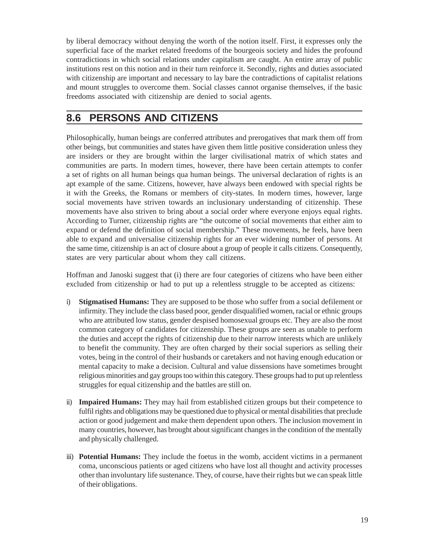by liberal democracy without denying the worth of the notion itself. First, it expresses only the superficial face of the market related freedoms of the bourgeois society and hides the profound contradictions in which social relations under capitalism are caught. An entire array of public institutions rest on this notion and in their turn reinforce it. Secondly, rights and duties associated with citizenship are important and necessary to lay bare the contradictions of capitalist relations and mount struggles to overcome them. Social classes cannot organise themselves, if the basic freedoms associated with citizenship are denied to social agents.

## **8.6 PERSONS AND CITIZENS**

Philosophically, human beings are conferred attributes and prerogatives that mark them off from other beings, but communities and states have given them little positive consideration unless they are insiders or they are brought within the larger civilisational matrix of which states and communities are parts. In modern times, however, there have been certain attempts to confer a set of rights on all human beings qua human beings. The universal declaration of rights is an apt example of the same. Citizens, however, have always been endowed with special rights be it with the Greeks, the Romans or members of city-states. In modern times, however, large social movements have striven towards an inclusionary understanding of citizenship. These movements have also striven to bring about a social order where everyone enjoys equal rights. According to Turner, citizenship rights are "the outcome of social movements that either aim to expand or defend the definition of social membership." These movements, he feels, have been able to expand and universalise citizenship rights for an ever widening number of persons. At the same time, citizenship is an act of closure about a group of people it calls citizens. Consequently, states are very particular about whom they call citizens.

Hoffman and Janoski suggest that (i) there are four categories of citizens who have been either excluded from citizenship or had to put up a relentless struggle to be accepted as citizens:

- i) **Stigmatised Humans:** They are supposed to be those who suffer from a social defilement or infirmity. They include the class based poor, gender disqualified women, racial or ethnic groups who are attributed low status, gender despised homosexual groups etc. They are also the most common category of candidates for citizenship. These groups are seen as unable to perform the duties and accept the rights of citizenship due to their narrow interests which are unlikely to benefit the community. They are often charged by their social superiors as selling their votes, being in the control of their husbands or caretakers and not having enough education or mental capacity to make a decision. Cultural and value dissensions have sometimes brought religious minorities and gay groups too within this category. These groups had to put up relentless struggles for equal citizenship and the battles are still on.
- ii) **Impaired Humans:** They may hail from established citizen groups but their competence to fulfil rights and obligations may be questioned due to physical or mental disabilities that preclude action or good judgement and make them dependent upon others. The inclusion movement in many countries, however, has brought about significant changes in the condition of the mentally and physically challenged.
- iii) **Potential Humans:** They include the foetus in the womb, accident victims in a permanent coma, unconscious patients or aged citizens who have lost all thought and activity processes other than involuntary life sustenance. They, of course, have their rights but we can speak little of their obligations.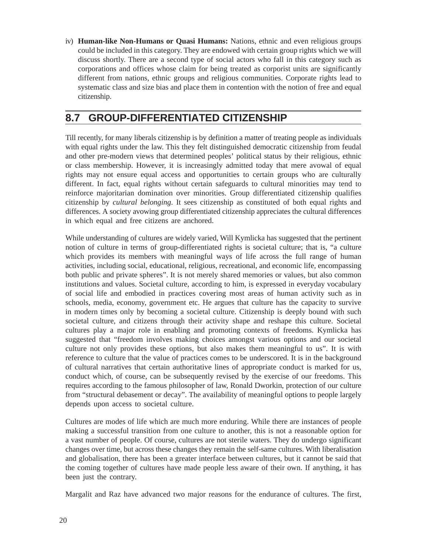iv) **Human-like Non-Humans or Quasi Humans:** Nations, ethnic and even religious groups could be included in this category. They are endowed with certain group rights which we will discuss shortly. There are a second type of social actors who fall in this category such as corporations and offices whose claim for being treated as corporist units are significantly different from nations, ethnic groups and religious communities. Corporate rights lead to systematic class and size bias and place them in contention with the notion of free and equal citizenship.

## **8.7 GROUP-DIFFERENTIATED CITIZENSHIP**

Till recently, for many liberals citizenship is by definition a matter of treating people as individuals with equal rights under the law. This they felt distinguished democratic citizenship from feudal and other pre-modern views that determined peoples' political status by their religious, ethnic or class membership. However, it is increasingly admitted today that mere avowal of equal rights may not ensure equal access and opportunities to certain groups who are culturally different. In fact, equal rights without certain safeguards to cultural minorities may tend to reinforce majoritarian domination over minorities. Group differentiated citizenship qualifies citizenship by *cultural belonging*. It sees citizenship as constituted of both equal rights and differences. A society avowing group differentiated citizenship appreciates the cultural differences in which equal and free citizens are anchored.

While understanding of cultures are widely varied, Will Kymlicka has suggested that the pertinent notion of culture in terms of group-differentiated rights is societal culture; that is, "a culture which provides its members with meaningful ways of life across the full range of human activities, including social, educational, religious, recreational, and economic life, encompassing both public and private spheres". It is not merely shared memories or values, but also common institutions and values. Societal culture, according to him, is expressed in everyday vocabulary of social life and embodied in practices covering most areas of human activity such as in schools, media, economy, government etc. He argues that culture has the capacity to survive in modern times only by becoming a societal culture. Citizenship is deeply bound with such societal culture, and citizens through their activity shape and reshape this culture. Societal cultures play a major role in enabling and promoting contexts of freedoms. Kymlicka has suggested that "freedom involves making choices amongst various options and our societal culture not only provides these options, but also makes them meaningful to us". It is with reference to culture that the value of practices comes to be underscored. It is in the background of cultural narratives that certain authoritative lines of appropriate conduct is marked for us, conduct which, of course, can be subsequently revised by the exercise of our freedoms. This requires according to the famous philosopher of law, Ronald Dworkin, protection of our culture from "structural debasement or decay". The availability of meaningful options to people largely depends upon access to societal culture.

Cultures are modes of life which are much more enduring. While there are instances of people making a successful transition from one culture to another, this is not a reasonable option for a vast number of people. Of course, cultures are not sterile waters. They do undergo significant changes over time, but across these changes they remain the self-same cultures. With liberalisation and globalisation, there has been a greater interface between cultures, but it cannot be said that the coming together of cultures have made people less aware of their own. If anything, it has been just the contrary.

Margalit and Raz have advanced two major reasons for the endurance of cultures. The first,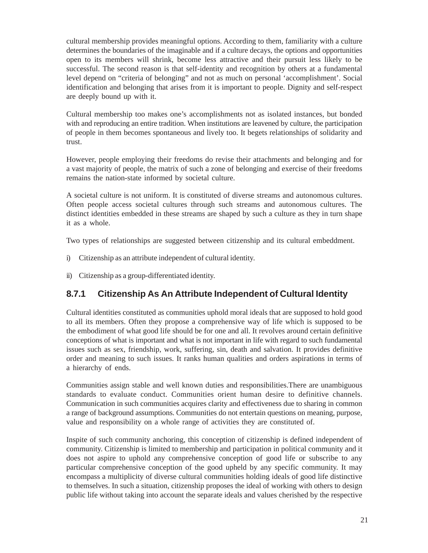cultural membership provides meaningful options. According to them, familiarity with a culture determines the boundaries of the imaginable and if a culture decays, the options and opportunities open to its members will shrink, become less attractive and their pursuit less likely to be successful. The second reason is that self-identity and recognition by others at a fundamental level depend on "criteria of belonging" and not as much on personal 'accomplishment'. Social identification and belonging that arises from it is important to people. Dignity and self-respect are deeply bound up with it.

Cultural membership too makes one's accomplishments not as isolated instances, but bonded with and reproducing an entire tradition. When institutions are leavened by culture, the participation of people in them becomes spontaneous and lively too. It begets relationships of solidarity and trust.

However, people employing their freedoms do revise their attachments and belonging and for a vast majority of people, the matrix of such a zone of belonging and exercise of their freedoms remains the nation-state informed by societal culture.

A societal culture is not uniform. It is constituted of diverse streams and autonomous cultures. Often people access societal cultures through such streams and autonomous cultures. The distinct identities embedded in these streams are shaped by such a culture as they in turn shape it as a whole.

Two types of relationships are suggested between citizenship and its cultural embeddment.

- i) Citizenship as an attribute independent of cultural identity.
- ii) Citizenship as a group-differentiated identity.

#### **8.7.1 Citizenship As An Attribute Independent of Cultural Identity**

Cultural identities constituted as communities uphold moral ideals that are supposed to hold good to all its members. Often they propose a comprehensive way of life which is supposed to be the embodiment of what good life should be for one and all. It revolves around certain definitive conceptions of what is important and what is not important in life with regard to such fundamental issues such as sex, friendship, work, suffering, sin, death and salvation. It provides definitive order and meaning to such issues. It ranks human qualities and orders aspirations in terms of a hierarchy of ends.

Communities assign stable and well known duties and responsibilities.There are unambiguous standards to evaluate conduct. Communities orient human desire to definitive channels. Communication in such communities acquires clarity and effectiveness due to sharing in common a range of background assumptions. Communities do not entertain questions on meaning, purpose, value and responsibility on a whole range of activities they are constituted of.

Inspite of such community anchoring, this conception of citizenship is defined independent of community. Citizenship is limited to membership and participation in political community and it does not aspire to uphold any comprehensive conception of good life or subscribe to any particular comprehensive conception of the good upheld by any specific community. It may encompass a multiplicity of diverse cultural communities holding ideals of good life distinctive to themselves. In such a situation, citizenship proposes the ideal of working with others to design public life without taking into account the separate ideals and values cherished by the respective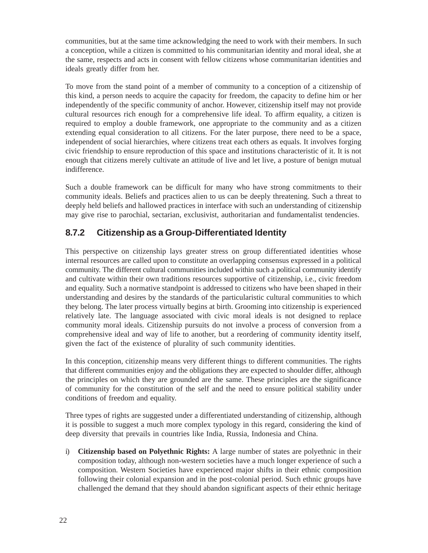communities, but at the same time acknowledging the need to work with their members. In such a conception, while a citizen is committed to his communitarian identity and moral ideal, she at the same, respects and acts in consent with fellow citizens whose communitarian identities and ideals greatly differ from her.

To move from the stand point of a member of community to a conception of a citizenship of this kind, a person needs to acquire the capacity for freedom, the capacity to define him or her independently of the specific community of anchor. However, citizenship itself may not provide cultural resources rich enough for a comprehensive life ideal. To affirm equality, a citizen is required to employ a double framework, one appropriate to the community and as a citizen extending equal consideration to all citizens. For the later purpose, there need to be a space, independent of social hierarchies, where citizens treat each others as equals. It involves forging civic friendship to ensure reproduction of this space and institutions characteristic of it. It is not enough that citizens merely cultivate an attitude of live and let live, a posture of benign mutual indifference.

Such a double framework can be difficult for many who have strong commitments to their community ideals. Beliefs and practices alien to us can be deeply threatening. Such a threat to deeply held beliefs and hallowed practices in interface with such an understanding of citizenship may give rise to parochial, sectarian, exclusivist, authoritarian and fundamentalist tendencies.

#### **8.7.2 Citizenship as a Group-Differentiated Identity**

This perspective on citizenship lays greater stress on group differentiated identities whose internal resources are called upon to constitute an overlapping consensus expressed in a political community. The different cultural communities included within such a political community identify and cultivate within their own traditions resources supportive of citizenship, i.e., civic freedom and equality. Such a normative standpoint is addressed to citizens who have been shaped in their understanding and desires by the standards of the particularistic cultural communities to which they belong. The later process virtually begins at birth. Grooming into citizenship is experienced relatively late. The language associated with civic moral ideals is not designed to replace community moral ideals. Citizenship pursuits do not involve a process of conversion from a comprehensive ideal and way of life to another, but a reordering of community identity itself, given the fact of the existence of plurality of such community identities.

In this conception, citizenship means very different things to different communities. The rights that different communities enjoy and the obligations they are expected to shoulder differ, although the principles on which they are grounded are the same. These principles are the significance of community for the constitution of the self and the need to ensure political stability under conditions of freedom and equality.

Three types of rights are suggested under a differentiated understanding of citizenship, although it is possible to suggest a much more complex typology in this regard, considering the kind of deep diversity that prevails in countries like India, Russia, Indonesia and China.

i) **Citizenship based on Polyethnic Rights:** A large number of states are polyethnic in their composition today, although non-western societies have a much longer experience of such a composition. Western Societies have experienced major shifts in their ethnic composition following their colonial expansion and in the post-colonial period. Such ethnic groups have challenged the demand that they should abandon significant aspects of their ethnic heritage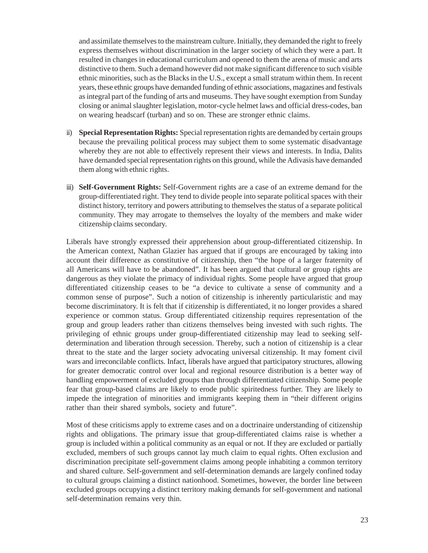and assimilate themselves to the mainstream culture. Initially, they demanded the right to freely express themselves without discrimination in the larger society of which they were a part. It resulted in changes in educational curriculum and opened to them the arena of music and arts distinctive to them. Such a demand however did not make significant difference to such visible ethnic minorities, such as the Blacks in the U.S., except a small stratum within them. In recent years, these ethnic groups have demanded funding of ethnic associations, magazines and festivals as integral part of the funding of arts and museums. They have sought exemption from Sunday closing or animal slaughter legislation, motor-cycle helmet laws and official dress-codes, ban on wearing headscarf (turban) and so on. These are stronger ethnic claims.

- ii) **Special Representation Rights:** Special representation rights are demanded by certain groups because the prevailing political process may subject them to some systematic disadvantage whereby they are not able to effectively represent their views and interests. In India, Dalits have demanded special representation rights on this ground, while the Adivasis have demanded them along with ethnic rights.
- iii) **Self-Government Rights:** Self-Government rights are a case of an extreme demand for the group-differentiated right. They tend to divide people into separate political spaces with their distinct history, territory and powers attributing to themselves the status of a separate political community. They may arrogate to themselves the loyalty of the members and make wider citizenship claims secondary.

Liberals have strongly expressed their apprehension about group-differentiated citizenship. In the American context, Nathan Glazier has argued that if groups are encouraged by taking into account their difference as constitutive of citizenship, then "the hope of a larger fraternity of all Americans will have to be abandoned". It has been argued that cultural or group rights are dangerous as they violate the primacy of individual rights. Some people have argued that group differentiated citizenship ceases to be "a device to cultivate a sense of community and a common sense of purpose". Such a notion of citizenship is inherently particularistic and may become discriminatory. It is felt that if citizenship is differentiated, it no longer provides a shared experience or common status. Group differentiated citizenship requires representation of the group and group leaders rather than citizens themselves being invested with such rights. The privileging of ethnic groups under group-differentiated citizenship may lead to seeking selfdetermination and liberation through secession. Thereby, such a notion of citizenship is a clear threat to the state and the larger society advocating universal citizenship. It may foment civil wars and irreconcilable conflicts. Infact, liberals have argued that participatory structures, allowing for greater democratic control over local and regional resource distribution is a better way of handling empowerment of excluded groups than through differentiated citizenship. Some people fear that group-based claims are likely to erode public spiritedness further. They are likely to impede the integration of minorities and immigrants keeping them in "their different origins rather than their shared symbols, society and future".

Most of these criticisms apply to extreme cases and on a doctrinaire understanding of citizenship rights and obligations. The primary issue that group-differentiated claims raise is whether a group is included within a political community as an equal or not. If they are excluded or partially excluded, members of such groups cannot lay much claim to equal rights. Often exclusion and discrimination precipitate self-government claims among people inhabiting a common territory and shared culture. Self-government and self-determination demands are largely confined today to cultural groups claiming a distinct nationhood. Sometimes, however, the border line between excluded groups occupying a distinct territory making demands for self-government and national self-determination remains very thin.